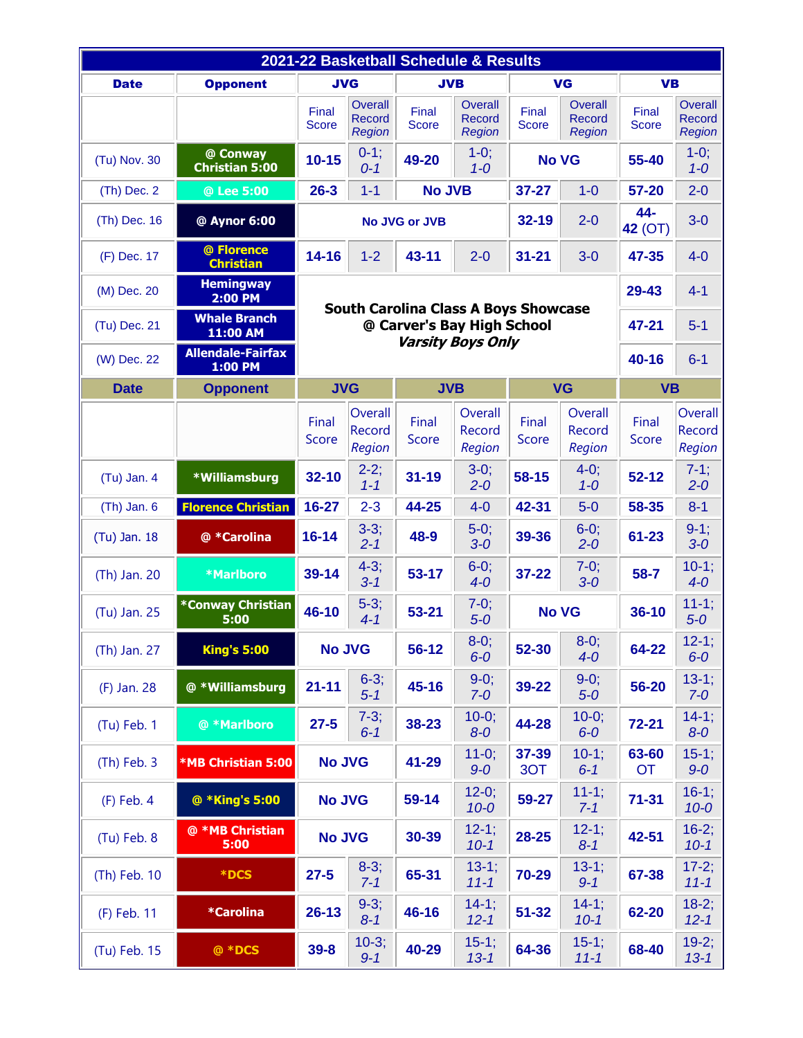| 2021-22 Basketball Schedule & Results |                                     |                                                        |                                           |                       |                                                  |                          |                                           |                       |                                           |
|---------------------------------------|-------------------------------------|--------------------------------------------------------|-------------------------------------------|-----------------------|--------------------------------------------------|--------------------------|-------------------------------------------|-----------------------|-------------------------------------------|
| <b>Date</b>                           | <b>Opponent</b>                     | <b>JVG</b><br><b>JVB</b>                               |                                           |                       | VG                                               |                          | <b>VB</b>                                 |                       |                                           |
|                                       |                                     | Final<br><b>Score</b>                                  | Overall<br><b>Record</b><br><b>Region</b> | Final<br><b>Score</b> | <b>Overall</b><br><b>Record</b><br><b>Region</b> | Final<br><b>Score</b>    | Overall<br><b>Record</b><br><b>Region</b> | Final<br><b>Score</b> | Overall<br><b>Record</b><br><b>Region</b> |
| (Tu) Nov. 30                          | @ Conway<br><b>Christian 5:00</b>   | $10 - 15$                                              | $0-1;$<br>$0 - 1$                         | 49-20                 | $1-0;$<br>$1 - 0$                                | <b>No VG</b>             |                                           | 55-40                 | $1-0;$<br>$1 - 0$                         |
| $(Th)$ Dec. 2                         | @ Lee 5:00                          | $26 - 3$                                               | $1 - 1$                                   | <b>No JVB</b>         |                                                  | $37 - 27$                | $1-0$                                     | 57-20                 | $2 - 0$                                   |
| (Th) Dec. 16                          | @ Aynor 6:00                        | <b>No JVG or JVB</b>                                   |                                           |                       | 32-19                                            | $2 - 0$                  | 44-<br>42 (OT)                            | $3-0$                 |                                           |
| (F) Dec. 17                           | @ Florence<br><b>Christian</b>      | $14 - 16$                                              | $1 - 2$                                   | 43-11                 | $2 - 0$                                          | $31 - 21$                | $3-0$                                     | 47-35                 | $4-0$                                     |
| (M) Dec. 20                           | <b>Hemingway</b><br>2:00 PM         | <b>South Carolina Class A Boys Showcase</b>            |                                           |                       |                                                  |                          |                                           | 29-43                 | $4 - 1$                                   |
| (Tu) Dec. 21                          | <b>Whale Branch</b><br>11:00 AM     | @ Carver's Bay High School<br><b>Varsity Boys Only</b> |                                           |                       |                                                  |                          |                                           | 47-21                 | $5-1$                                     |
| (W) Dec. 22                           | <b>Allendale-Fairfax</b><br>1:00 PM |                                                        |                                           |                       |                                                  |                          |                                           |                       | $6 - 1$                                   |
| <b>Date</b>                           | <b>Opponent</b>                     | <b>JVG</b>                                             |                                           |                       | <b>JVB</b>                                       | <b>VG</b>                |                                           | <b>VB</b>             |                                           |
|                                       |                                     | Final<br><b>Score</b>                                  | Overall<br>Record<br>Region               | Final<br><b>Score</b> | Overall<br>Record<br>Region                      | Final<br>Score           | Overall<br>Record<br>Region               | Final<br>Score        | Overall<br>Record<br>Region               |
| $(Tu)$ Jan. 4                         | *Williamsburg                       | $32 - 10$                                              | $2-2;$<br>$1 - 1$                         | $31 - 19$             | $3-0;$<br>$2 - 0$                                | 58-15                    | $4-0;$<br>$1 - 0$                         | $52 - 12$             | $7-1$ ;<br>$2 - 0$                        |
| $(Th)$ Jan. $6$                       | <b>Florence Christian</b>           | 16-27                                                  | $2 - 3$                                   | 44-25                 | $4-0$                                            | 42-31                    | $5-0$                                     | 58-35                 | $8 - 1$                                   |
| (Tu) Jan. 18                          | @ *Carolina                         | $16 - 14$                                              | $3-3;$<br>$2 - 1$                         | 48-9                  | $5-0;$<br>$3-0$                                  | 39-36                    | $6-0;$<br>$2 - 0$                         | 61-23                 | $9-1;$<br>$3-0$                           |
| (Th) Jan. 20                          | <b>*Marlboro</b>                    | 39-14                                                  | $4 - 3;$<br>$3 - 1$                       | $53 - 17$             | $6-0;$<br>$4 - 0$                                | 37-22                    | $7-0;$<br>$3-0$                           | $58 - 7$              | $10-1;$<br>$4-0$                          |
| (Tu) Jan. 25                          | <b>*Conway Christian</b><br>5:00    | 46-10                                                  | $5-3;$<br>$4 - 1$                         | $53 - 21$             | $7-0;$<br>$5-0$                                  | <b>No VG</b>             |                                           | $36 - 10$             | $11-1;$<br>$5 - 0$                        |
| (Th) Jan. 27                          | <b>King's 5:00</b>                  | <b>No JVG</b>                                          |                                           | 56-12                 | $8-0;$<br>$6 - 0$                                | $8-0;$<br>52-30<br>$4-0$ |                                           | 64-22                 | $12-1;$<br>$6-0$                          |
| (F) Jan. 28                           | @ *Williamsburg                     | $21 - 11$                                              | $6-3;$<br>$5 - 1$                         | 45-16                 | $9-0;$<br>$7-0$                                  | 39-22                    | $9-0;$<br>$5-0$                           | 56-20                 | $13-1;$<br>$7-0$                          |
| (Tu) Feb. 1                           | @ *Marlboro                         | $27 - 5$                                               | $7-3;$<br>$6 - 1$                         | 38-23                 | $10-0;$<br>$8-0$                                 | 44-28                    | $10-0;$<br>$6-0$                          | $72 - 21$             | $14-1$ ;<br>$8-0$                         |
| $(Th)$ Feb. 3                         | <b>*MB Christian 5:00</b>           | <b>No JVG</b>                                          |                                           | 41-29                 | $11-0;$<br>$9-0$                                 | 37-39<br>3OT             | $10-1;$<br>$6 - 1$                        | 63-60<br><b>OT</b>    | $15-1;$<br>$9-0$                          |
| $(F)$ Feb. 4                          | @ *King's 5:00                      | <b>No JVG</b>                                          |                                           | 59-14                 | $12-0;$<br>$10 - 0$                              | 59-27                    | $11-1;$<br>$7 - 1$                        | $71 - 31$             | $16-1;$<br>$10 - 0$                       |
| (Tu) Feb. 8                           | @ *MB Christian<br>5:00             | <b>No JVG</b>                                          |                                           | 30-39                 | $12-1;$<br>$10 - 1$                              | 28-25                    | $12-1;$<br>$8 - 1$                        | 42-51                 | $16-2;$<br>$10 - 1$                       |
| (Th) Feb. 10                          | <b>*DCS</b>                         | $27 - 5$                                               | $8-3;$<br>$7 - 1$                         | 65-31                 | $13-1;$<br>$11 - 1$                              | 70-29                    | $13-1;$<br>$9 - 1$                        | 67-38                 | $17-2;$<br>$11 - 1$                       |
| (F) Feb. 11                           | *Carolina                           | $26 - 13$                                              | $9-3;$<br>$8 - 1$                         | 46-16                 | $14-1;$<br>$12 - 1$                              | $51 - 32$                | $14-1;$<br>$10 - 1$                       | 62-20                 | $18-2;$<br>$12 - 1$                       |
| (Tu) Feb. 15                          | @ *DCS                              | $39 - 8$                                               | $10-3;$<br>$9 - 1$                        | 40-29                 | $15-1;$<br>$13 - 1$                              | 64-36                    | $15-1;$<br>$11 - 1$                       | 68-40                 | $19-2;$<br>$13 - 1$                       |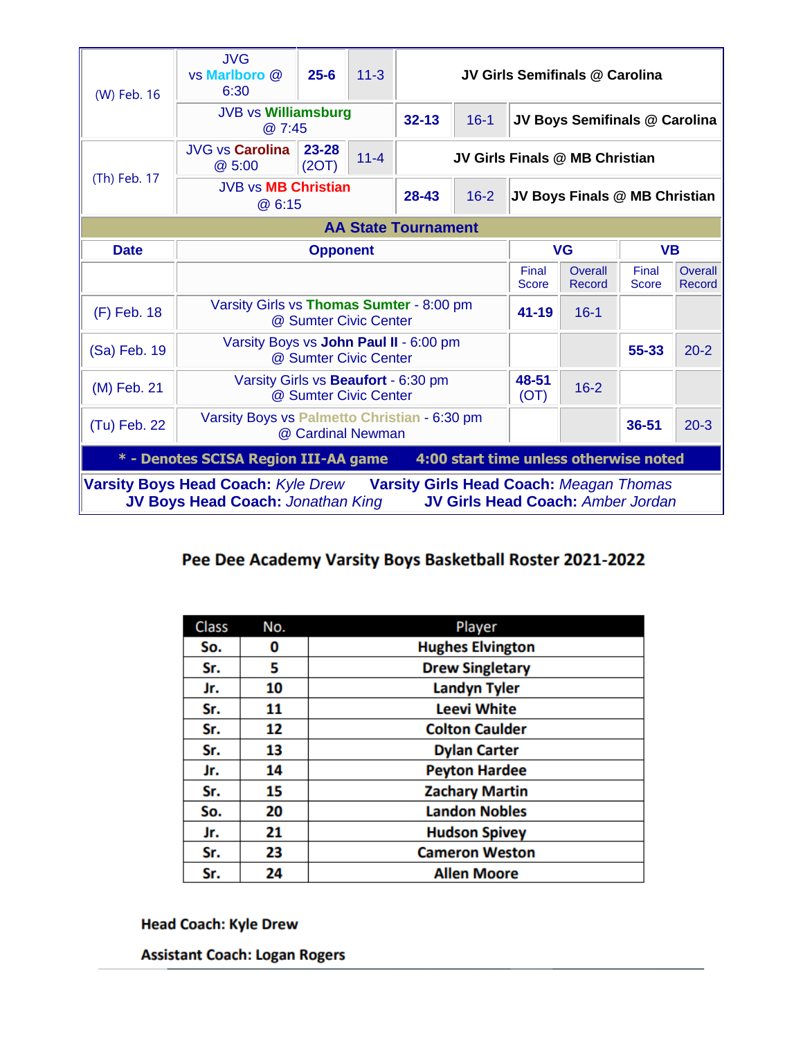| (W) Feb. 16                                                                                                                                                                         | <b>JVG</b><br>vs Marlboro @<br>6:30                               | $25 - 6$       | $11 - 3$ | JV Girls Semifinals @ Carolina |               |                               |                               |                       |                   |
|-------------------------------------------------------------------------------------------------------------------------------------------------------------------------------------|-------------------------------------------------------------------|----------------|----------|--------------------------------|---------------|-------------------------------|-------------------------------|-----------------------|-------------------|
|                                                                                                                                                                                     | <b>JVB vs Williamsburg</b><br>@ 7:45                              |                |          | $32 - 13$                      | $16 - 1$      |                               | JV Boys Semifinals @ Carolina |                       |                   |
|                                                                                                                                                                                     | <b>JVG vs Carolina</b><br>@ 5:00                                  | 23-28<br>(2OT) | $11 - 4$ | JV Girls Finals @ MB Christian |               |                               |                               |                       |                   |
| (Th) Feb. 17                                                                                                                                                                        | <b>JVB vs MB Christian</b><br>@ 6:15                              |                |          | 28-43                          | $16 - 2$      | JV Boys Finals @ MB Christian |                               |                       |                   |
| <b>AA State Tournament</b>                                                                                                                                                          |                                                                   |                |          |                                |               |                               |                               |                       |                   |
| <b>Date</b>                                                                                                                                                                         | <b>Opponent</b>                                                   |                |          |                                | <b>VG</b>     |                               | <b>VB</b>                     |                       |                   |
|                                                                                                                                                                                     |                                                                   |                |          |                                |               | Final<br><b>Score</b>         | Overall<br>Record             | Final<br><b>Score</b> | Overall<br>Record |
| (F) Feb. 18                                                                                                                                                                         | Varsity Girls vs Thomas Sumter - 8:00 pm<br>@ Sumter Civic Center |                |          |                                |               | $41 - 19$                     | $16 - 1$                      |                       |                   |
| (Sa) Feb. 19                                                                                                                                                                        | Varsity Boys vs John Paul II - 6:00 pm<br>@ Sumter Civic Center   |                |          |                                |               |                               | 55-33                         | $20 - 2$              |                   |
| (M) Feb. 21                                                                                                                                                                         | Varsity Girls vs Beaufort - 6:30 pm<br>@ Sumter Civic Center      |                |          |                                | 48-51<br>(OT) | $16 - 2$                      |                               |                       |                   |
| (Tu) Feb. 22                                                                                                                                                                        | Varsity Boys vs Palmetto Christian - 6:30 pm<br>@ Cardinal Newman |                |          |                                |               |                               | 36-51                         | $20 - 3$              |                   |
| 4:00 start time unless otherwise noted<br>* - Denotes SCISA Region III-AA game                                                                                                      |                                                                   |                |          |                                |               |                               |                               |                       |                   |
| <b>Varsity Boys Head Coach: Kyle Drew</b><br><b>Varsity Girls Head Coach: Meagan Thomas</b><br><b>JV Boys Head Coach: Jonathan King</b><br><b>JV Girls Head Coach: Amber Jordan</b> |                                                                   |                |          |                                |               |                               |                               |                       |                   |

## Pee Dee Academy Varsity Boys Basketball Roster 2021-2022

| <b>Class</b> | No. | Player                  |
|--------------|-----|-------------------------|
| So.          | 0   | <b>Hughes Elvington</b> |
| Sr.          | 5   | <b>Drew Singletary</b>  |
| Jr.          | 10  | <b>Landyn Tyler</b>     |
| Sr.          | 11  | <b>Leevi White</b>      |
| Sr.          | 12  | <b>Colton Caulder</b>   |
| Sr.          | 13  | <b>Dylan Carter</b>     |
| Jr.          | 14  | <b>Peyton Hardee</b>    |
| Sr.          | 15  | <b>Zachary Martin</b>   |
| So.          | 20  | <b>Landon Nobles</b>    |
| Jr.          | 21  | <b>Hudson Spivey</b>    |
| Sr.          | 23  | <b>Cameron Weston</b>   |
| Sr.          | 24  | <b>Allen Moore</b>      |

## **Head Coach: Kyle Drew**

**Assistant Coach: Logan Rogers**